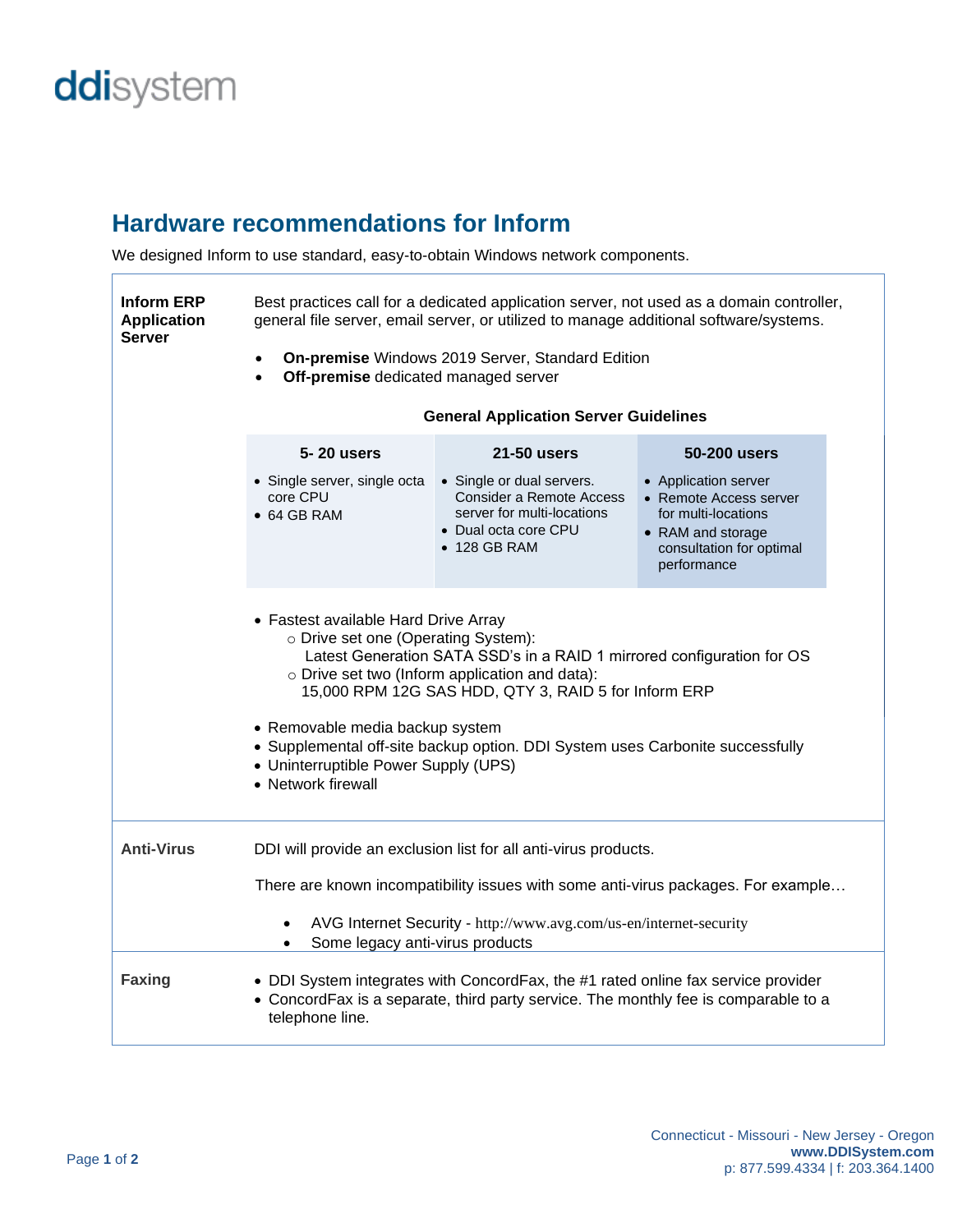## ddisystem

 $\overline{1}$ 

## **Hardware recommendations for Inform**

We designed Inform to use standard, easy-to-obtain Windows network components.

| <b>Inform ERP</b><br><b>Application</b><br><b>Server</b> | Best practices call for a dedicated application server, not used as a domain controller,<br>general file server, email server, or utilized to manage additional software/systems.<br>On-premise Windows 2019 Server, Standard Edition<br>$\bullet$<br>Off-premise dedicated managed server<br><b>General Application Server Guidelines</b><br>5-20 users<br>50-200 users<br><b>21-50 users</b><br>• Single server, single octa<br>• Single or dual servers.<br>• Application server |                                                                                                        |                                                                                                               |  |
|----------------------------------------------------------|-------------------------------------------------------------------------------------------------------------------------------------------------------------------------------------------------------------------------------------------------------------------------------------------------------------------------------------------------------------------------------------------------------------------------------------------------------------------------------------|--------------------------------------------------------------------------------------------------------|---------------------------------------------------------------------------------------------------------------|--|
|                                                          | core CPU<br>$\bullet$ 64 GB RAM                                                                                                                                                                                                                                                                                                                                                                                                                                                     | Consider a Remote Access<br>server for multi-locations<br>• Dual octa core CPU<br>$\bullet$ 128 GB RAM | • Remote Access server<br>for multi-locations<br>• RAM and storage<br>consultation for optimal<br>performance |  |
|                                                          | • Fastest available Hard Drive Array<br>o Drive set one (Operating System):<br>Latest Generation SATA SSD's in a RAID 1 mirrored configuration for OS<br>o Drive set two (Inform application and data):<br>15,000 RPM 12G SAS HDD, QTY 3, RAID 5 for Inform ERP<br>• Removable media backup system<br>• Supplemental off-site backup option. DDI System uses Carbonite successfully<br>• Uninterruptible Power Supply (UPS)<br>• Network firewall                                   |                                                                                                        |                                                                                                               |  |
| <b>Anti-Virus</b>                                        | DDI will provide an exclusion list for all anti-virus products.<br>There are known incompatibility issues with some anti-virus packages. For example<br>AVG Internet Security - http://www.avg.com/us-en/internet-security<br>Some legacy anti-virus products                                                                                                                                                                                                                       |                                                                                                        |                                                                                                               |  |
|                                                          |                                                                                                                                                                                                                                                                                                                                                                                                                                                                                     |                                                                                                        |                                                                                                               |  |
| <b>Faxing</b>                                            | • DDI System integrates with ConcordFax, the #1 rated online fax service provider<br>• ConcordFax is a separate, third party service. The monthly fee is comparable to a<br>telephone line.                                                                                                                                                                                                                                                                                         |                                                                                                        |                                                                                                               |  |